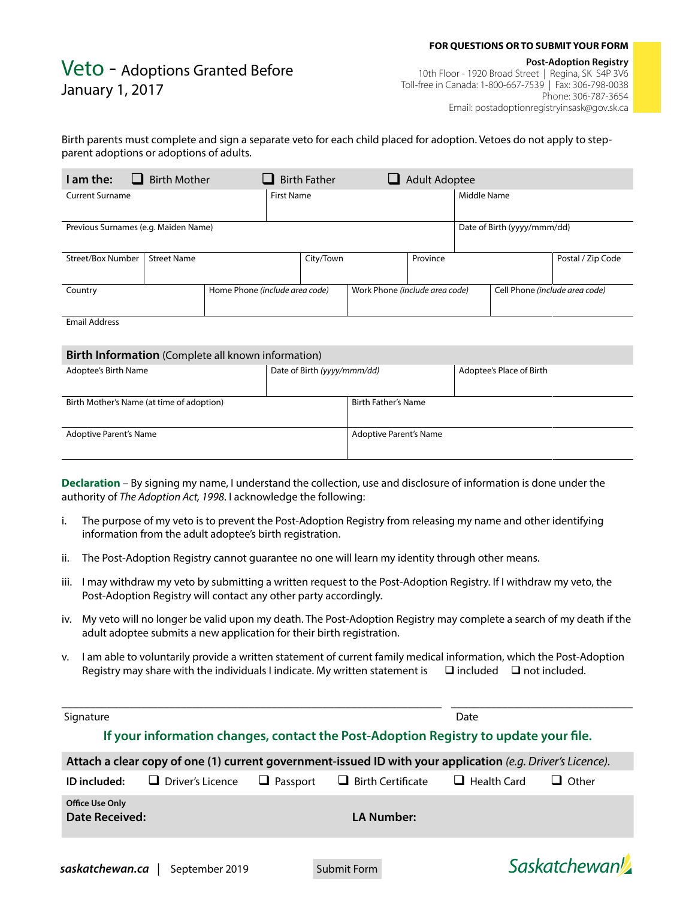#### **FOR QUESTIONS OR TO SUBMIT YOUR FORM**

# Veto - Adoptions Granted Before January 1, 2017

 **Post-Adoption Registry** 10th Floor - 1920 Broad Street | Regina, SK S4P 3V6 Toll-free in Canada: 1-800-667-7539 | Fax: 306-798-0038 Phone: 306-787-3654 Email: postadoptionregistryinsask@gov.sk.ca

### Birth parents must complete and sign a separate veto for each child placed for adoption. Vetoes do not apply to stepparent adoptions or adoptions of adults.

| I am the:                            | <b>Birth Mother</b> |                                | <b>Birth Father</b> |                                | <b>Adult Adoptee</b> |                                |                             |                   |
|--------------------------------------|---------------------|--------------------------------|---------------------|--------------------------------|----------------------|--------------------------------|-----------------------------|-------------------|
| <b>Current Surname</b>               |                     | <b>First Name</b>              |                     |                                |                      | Middle Name                    |                             |                   |
| Previous Surnames (e.g. Maiden Name) |                     |                                |                     |                                |                      |                                | Date of Birth (yyyy/mmm/dd) |                   |
| Street/Box Number                    | <b>Street Name</b>  |                                | City/Town           |                                | Province             |                                |                             | Postal / Zip Code |
| Country                              |                     | Home Phone (include area code) |                     | Work Phone (include area code) |                      | Cell Phone (include area code) |                             |                   |
| <b>Email Address</b>                 |                     |                                |                     |                                |                      |                                |                             |                   |

| Birth Information (Complete all known information) |                             |                               |                          |  |  |  |  |  |  |
|----------------------------------------------------|-----------------------------|-------------------------------|--------------------------|--|--|--|--|--|--|
| Adoptee's Birth Name                               | Date of Birth (yyyy/mmm/dd) |                               | Adoptee's Place of Birth |  |  |  |  |  |  |
| Birth Mother's Name (at time of adoption)          |                             | <b>Birth Father's Name</b>    |                          |  |  |  |  |  |  |
| Adoptive Parent's Name                             |                             | <b>Adoptive Parent's Name</b> |                          |  |  |  |  |  |  |

**Declaration** – By signing my name, I understand the collection, use and disclosure of information is done under the authority of *The Adoption Act, 1998*. I acknowledge the following:

- i. The purpose of my veto is to prevent the Post-Adoption Registry from releasing my name and other identifying information from the adult adoptee's birth registration.
- ii. The Post-Adoption Registry cannot guarantee no one will learn my identity through other means.
- iii. I may withdraw my veto by submitting a written request to the Post-Adoption Registry. If I withdraw my veto, the Post-Adoption Registry will contact any other party accordingly.
- iv. My veto will no longer be valid upon my death. The Post-Adoption Registry may complete a search of my death if the adult adoptee submits a new application for their birth registration.
- v. I am able to voluntarily provide a written statement of current family medical information, which the Post-Adoption Registry may share with the individuals I indicate. My written statement is  $\Box$  included  $\Box$  not included.

**\_\_\_\_\_\_\_\_\_\_\_\_\_\_\_\_\_\_\_\_\_\_\_\_\_\_\_\_\_\_\_\_\_\_\_\_\_\_\_\_\_\_\_\_\_\_\_\_\_\_\_\_\_\_\_\_\_\_\_\_\_\_\_\_\_\_\_ \_\_\_\_\_\_\_\_\_\_\_\_\_\_\_\_\_\_\_\_\_\_\_\_\_\_\_\_\_\_\_\_** Signature Date **Date If your information changes, contact the Post-Adoption Registry to update your file. Attach a clear copy of one (1) current government-issued ID with your application** *(e.g. Driver's Licence).* **ID included:**  $\Box$  Driver's Licence  $\Box$  Passport  $\Box$  Birth Certificate  $\Box$  Health Card  $\Box$  Other **Office Use Only Date Received: LA Number:** Saskatchewan *saskatchewan.ca* | September 2019 Submit Form